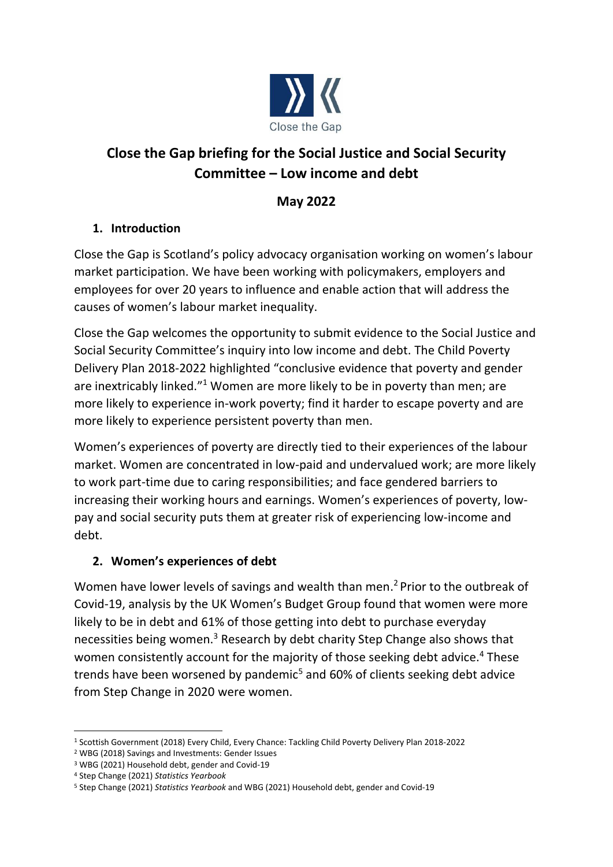

# **Close the Gap briefing for the Social Justice and Social Security Committee – Low income and debt**

## **May 2022**

## **1. Introduction**

Close the Gap is Scotland's policy advocacy organisation working on women's labour market participation. We have been working with policymakers, employers and employees for over 20 years to influence and enable action that will address the causes of women's labour market inequality.

Close the Gap welcomes the opportunity to submit evidence to the Social Justice and Social Security Committee's inquiry into low income and debt. The Child Poverty Delivery Plan 2018-2022 highlighted "conclusive evidence that poverty and gender are inextricably linked."<sup>1</sup> Women are more likely to be in poverty than men; are more likely to experience in-work poverty; find it harder to escape poverty and are more likely to experience persistent poverty than men.

Women's experiences of poverty are directly tied to their experiences of the labour market. Women are concentrated in low-paid and undervalued work; are more likely to work part-time due to caring responsibilities; and face gendered barriers to increasing their working hours and earnings. Women's experiences of poverty, lowpay and social security puts them at greater risk of experiencing low-income and debt.

## **2. Women's experiences of debt**

Women have lower levels of savings and wealth than men. <sup>2</sup> Prior to the outbreak of Covid-19, analysis by the UK Women's Budget Group found that women were more likely to be in debt and 61% of those getting into debt to purchase everyday necessities being women.<sup>3</sup> Research by debt charity Step Change also shows that women consistently account for the majority of those seeking debt advice.<sup>4</sup> These trends have been worsened by pandemic<sup>5</sup> and 60% of clients seeking debt advice from Step Change in 2020 were women.

<sup>1</sup> Scottish Government (2018) Every Child, Every Chance: Tackling Child Poverty Delivery Plan 2018-2022

<sup>2</sup> WBG (2018) Savings and Investments: Gender Issues

<sup>3</sup> WBG (2021) Household debt, gender and Covid-19

<sup>4</sup> Step Change (2021) *Statistics Yearbook*

<sup>5</sup> Step Change (2021) *Statistics Yearbook* and WBG (2021) Household debt, gender and Covid-19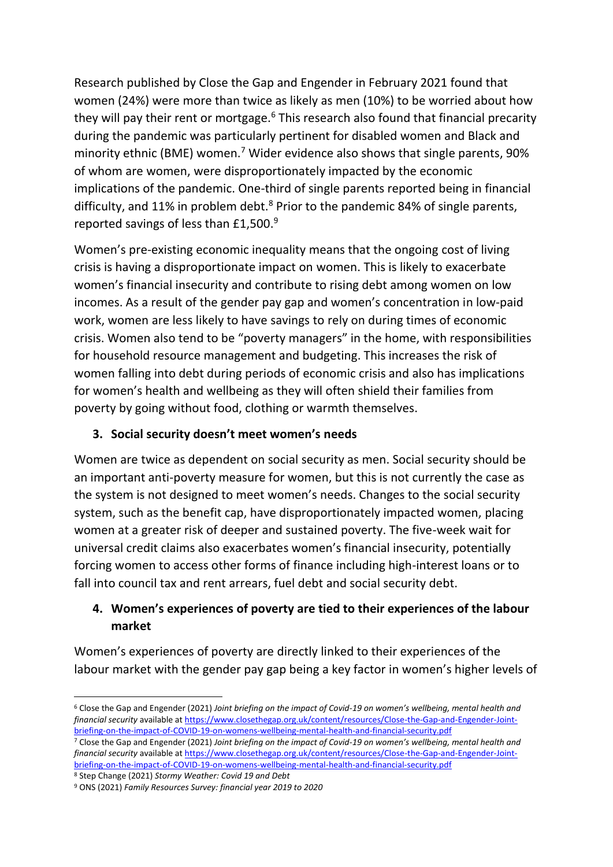Research published by Close the Gap and Engender in February 2021 found that women (24%) were more than twice as likely as men (10%) to be worried about how they will pay their rent or mortgage. $6$  This research also found that financial precarity during the pandemic was particularly pertinent for disabled women and Black and minority ethnic (BME) women.<sup>7</sup> Wider evidence also shows that single parents, 90% of whom are women, were disproportionately impacted by the economic implications of the pandemic. One-third of single parents reported being in financial difficulty, and 11% in problem debt. $8$  Prior to the pandemic 84% of single parents, reported savings of less than £1,500.<sup>9</sup>

Women's pre-existing economic inequality means that the ongoing cost of living crisis is having a disproportionate impact on women. This is likely to exacerbate women's financial insecurity and contribute to rising debt among women on low incomes. As a result of the gender pay gap and women's concentration in low-paid work, women are less likely to have savings to rely on during times of economic crisis. Women also tend to be "poverty managers" in the home, with responsibilities for household resource management and budgeting. This increases the risk of women falling into debt during periods of economic crisis and also has implications for women's health and wellbeing as they will often shield their families from poverty by going without food, clothing or warmth themselves.

#### **3. Social security doesn't meet women's needs**

Women are twice as dependent on social security as men. Social security should be an important anti-poverty measure for women, but this is not currently the case as the system is not designed to meet women's needs. Changes to the social security system, such as the benefit cap, have disproportionately impacted women, placing women at a greater risk of deeper and sustained poverty. The five-week wait for universal credit claims also exacerbates women's financial insecurity, potentially forcing women to access other forms of finance including high-interest loans or to fall into council tax and rent arrears, fuel debt and social security debt.

#### **4. Women's experiences of poverty are tied to their experiences of the labour market**

Women's experiences of poverty are directly linked to their experiences of the labour market with the gender pay gap being a key factor in women's higher levels of

<sup>8</sup> Step Change (2021) *Stormy Weather: Covid 19 and Debt*

<sup>6</sup> Close the Gap and Engender (2021) *Joint briefing on the impact of Covid-19 on women's wellbeing, mental health and financial security* available a[t https://www.closethegap.org.uk/content/resources/Close-the-Gap-and-Engender-Joint](https://www.closethegap.org.uk/content/resources/Close-the-Gap-and-Engender-Joint-briefing-on-the-impact-of-COVID-19-on-womens-wellbeing-mental-health-and-financial-security.pdf)[briefing-on-the-impact-of-COVID-19-on-womens-wellbeing-mental-health-and-financial-security.pdf](https://www.closethegap.org.uk/content/resources/Close-the-Gap-and-Engender-Joint-briefing-on-the-impact-of-COVID-19-on-womens-wellbeing-mental-health-and-financial-security.pdf)

<sup>7</sup> Close the Gap and Engender (2021) *Joint briefing on the impact of Covid-19 on women's wellbeing, mental health and financial security* available a[t https://www.closethegap.org.uk/content/resources/Close-the-Gap-and-Engender-Joint](https://www.closethegap.org.uk/content/resources/Close-the-Gap-and-Engender-Joint-briefing-on-the-impact-of-COVID-19-on-womens-wellbeing-mental-health-and-financial-security.pdf)[briefing-on-the-impact-of-COVID-19-on-womens-wellbeing-mental-health-and-financial-security.pdf](https://www.closethegap.org.uk/content/resources/Close-the-Gap-and-Engender-Joint-briefing-on-the-impact-of-COVID-19-on-womens-wellbeing-mental-health-and-financial-security.pdf)

<sup>9</sup> ONS (2021) *Family Resources Survey: financial year 2019 to 2020*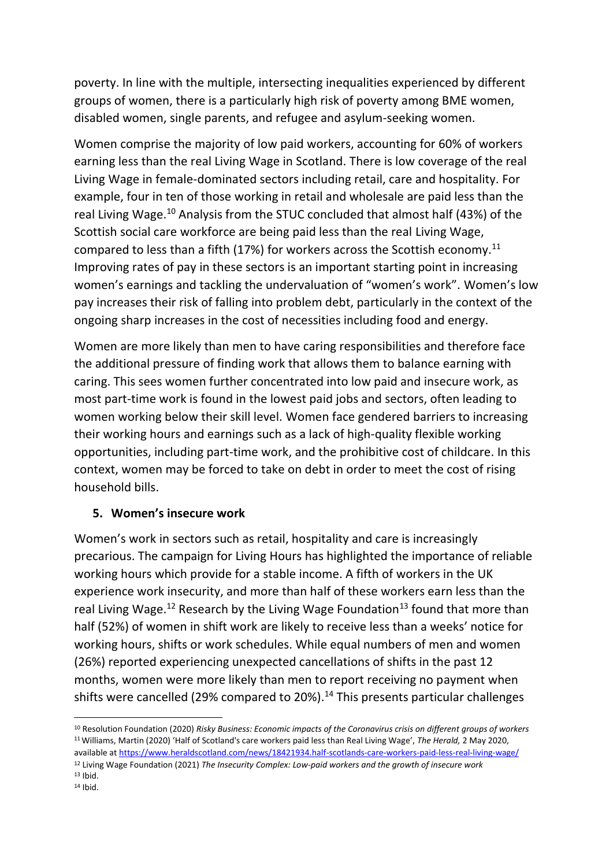poverty. In line with the multiple, intersecting inequalities experienced by different groups of women, there is a particularly high risk of poverty among BME women, disabled women, single parents, and refugee and asylum-seeking women.

Women comprise the majority of low paid workers, accounting for 60% of workers earning less than the real Living Wage in Scotland. There is low coverage of the real Living Wage in female-dominated sectors including retail, care and hospitality. For example, four in ten of those working in retail and wholesale are paid less than the real Living Wage.<sup>10</sup> Analysis from the STUC concluded that almost half (43%) of the Scottish social care workforce are being paid less than the real Living Wage, compared to less than a fifth (17%) for workers across the Scottish economy.<sup>11</sup> Improving rates of pay in these sectors is an important starting point in increasing women's earnings and tackling the undervaluation of "women's work". Women's low pay increases their risk of falling into problem debt, particularly in the context of the ongoing sharp increases in the cost of necessities including food and energy.

Women are more likely than men to have caring responsibilities and therefore face the additional pressure of finding work that allows them to balance earning with caring. This sees women further concentrated into low paid and insecure work, as most part-time work is found in the lowest paid jobs and sectors, often leading to women working below their skill level. Women face gendered barriers to increasing their working hours and earnings such as a lack of high-quality flexible working opportunities, including part-time work, and the prohibitive cost of childcare. In this context, women may be forced to take on debt in order to meet the cost of rising household bills.

#### **5. Women's insecure work**

Women's work in sectors such as retail, hospitality and care is increasingly precarious. The campaign for Living Hours has highlighted the importance of reliable working hours which provide for a stable income. A fifth of workers in the UK experience work insecurity, and more than half of these workers earn less than the real Living Wage.<sup>12</sup> Research by the Living Wage Foundation<sup>13</sup> found that more than half (52%) of women in shift work are likely to receive less than a weeks' notice for working hours, shifts or work schedules. While equal numbers of men and women (26%) reported experiencing unexpected cancellations of shifts in the past 12 months, women were more likely than men to report receiving no payment when shifts were cancelled (29% compared to 20%).<sup>14</sup> This presents particular challenges

<sup>12</sup> Living Wage Foundation (2021) *The Insecurity Complex: Low-paid workers and the growth of insecure work*

<sup>10</sup> Resolution Foundation (2020) *Risky Business: Economic impacts of the Coronavirus crisis on different groups of workers* <sup>11</sup>Williams, Martin (2020) 'Half of Scotland's care workers paid less than Real Living Wage', *The Herald,* 2 May 2020, available at<https://www.heraldscotland.com/news/18421934.half-scotlands-care-workers-paid-less-real-living-wage/>

 $13$  Ibid.  $14$  Ibid.